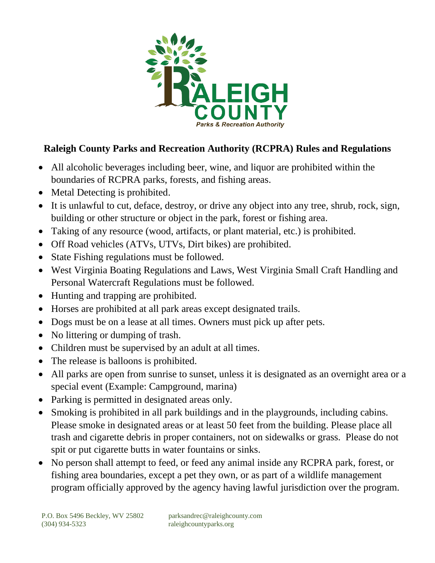

## **Raleigh County Parks and Recreation Authority (RCPRA) Rules and Regulations**

- All alcoholic beverages including beer, wine, and liquor are prohibited within the boundaries of RCPRA parks, forests, and fishing areas.
- Metal Detecting is prohibited.
- It is unlawful to cut, deface, destroy, or drive any object into any tree, shrub, rock, sign, building or other structure or object in the park, forest or fishing area.
- Taking of any resource (wood, artifacts, or plant material, etc.) is prohibited.
- Off Road vehicles (ATVs, UTVs, Dirt bikes) are prohibited.
- State Fishing regulations must be followed.
- West Virginia Boating Regulations and Laws, West Virginia Small Craft Handling and Personal Watercraft Regulations must be followed.
- Hunting and trapping are prohibited.
- Horses are prohibited at all park areas except designated trails.
- Dogs must be on a lease at all times. Owners must pick up after pets.
- No littering or dumping of trash.
- Children must be supervised by an adult at all times.
- The release is balloons is prohibited.
- All parks are open from sunrise to sunset, unless it is designated as an overnight area or a special event (Example: Campground, marina)
- Parking is permitted in designated areas only.
- Smoking is prohibited in all park buildings and in the playgrounds, including cabins. Please smoke in designated areas or at least 50 feet from the building. Please place all trash and cigarette debris in proper containers, not on sidewalks or grass. Please do not spit or put cigarette butts in water fountains or sinks.
- No person shall attempt to feed, or feed any animal inside any RCPRA park, forest, or fishing area boundaries, except a pet they own, or as part of a wildlife management program officially approved by the agency having lawful jurisdiction over the program.